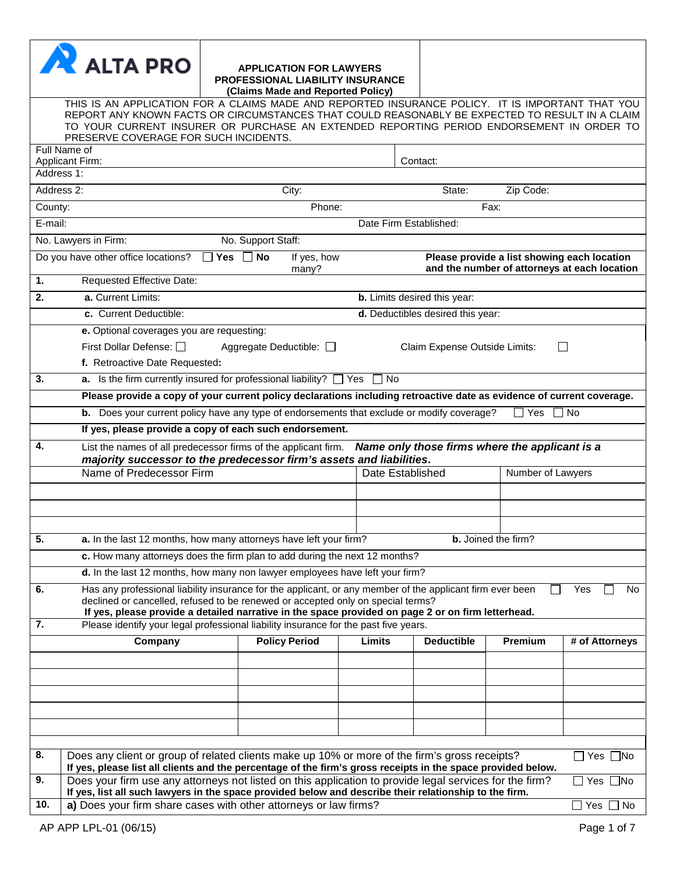| <b>N</b> ALTA PRO                                                                                      | <b>APPLICATION FOR LAWYERS</b><br><b>PROFESSIONAL LIABILITY INSURANCE</b><br>(Claims Made and Reported Policy)                                                                                                                                                                                                                                                                             |                        |                                   |                                                |                                              |
|--------------------------------------------------------------------------------------------------------|--------------------------------------------------------------------------------------------------------------------------------------------------------------------------------------------------------------------------------------------------------------------------------------------------------------------------------------------------------------------------------------------|------------------------|-----------------------------------|------------------------------------------------|----------------------------------------------|
| PRESERVE COVERAGE FOR SUCH INCIDENTS.                                                                  | THIS IS AN APPLICATION FOR A CLAIMS MADE AND REPORTED INSURANCE POLICY. IT IS IMPORTANT THAT YOU<br>REPORT ANY KNOWN FACTS OR CIRCUMSTANCES THAT COULD REASONABLY BE EXPECTED TO RESULT IN A CLAIM<br>TO YOUR CURRENT INSURER OR PURCHASE AN EXTENDED REPORTING PERIOD ENDORSEMENT IN ORDER TO                                                                                             |                        |                                   |                                                |                                              |
| Full Name of<br><b>Applicant Firm:</b>                                                                 |                                                                                                                                                                                                                                                                                                                                                                                            |                        | Contact:                          |                                                |                                              |
| Address 1:<br>Address 2:                                                                               | City:                                                                                                                                                                                                                                                                                                                                                                                      |                        | State:                            | Zip Code:                                      |                                              |
| County:                                                                                                | Phone:                                                                                                                                                                                                                                                                                                                                                                                     |                        |                                   | Fax:                                           |                                              |
| E-mail:                                                                                                |                                                                                                                                                                                                                                                                                                                                                                                            | Date Firm Established: |                                   |                                                |                                              |
| No. Lawyers in Firm:                                                                                   | No. Support Staff:                                                                                                                                                                                                                                                                                                                                                                         |                        |                                   |                                                |                                              |
| Do you have other office locations?                                                                    | <b>No</b><br>If yes, how<br><b>Yes</b><br>many?                                                                                                                                                                                                                                                                                                                                            |                        |                                   | Please provide a list showing each location    | and the number of attorneys at each location |
| 1.<br>Requested Effective Date:                                                                        |                                                                                                                                                                                                                                                                                                                                                                                            |                        |                                   |                                                |                                              |
| a. Current Limits:<br>2.                                                                               |                                                                                                                                                                                                                                                                                                                                                                                            |                        | b. Limits desired this year:      |                                                |                                              |
| c. Current Deductible:                                                                                 |                                                                                                                                                                                                                                                                                                                                                                                            |                        | d. Deductibles desired this year: |                                                |                                              |
| e. Optional coverages you are requesting:<br>First Dollar Defense: □<br>f. Retroactive Date Requested: | Aggregate Deductible: □                                                                                                                                                                                                                                                                                                                                                                    |                        | Claim Expense Outside Limits:     |                                                |                                              |
| 3.                                                                                                     | <b>a.</b> Is the firm currently insured for professional liability? $\Box$ Yes $\Box$ No                                                                                                                                                                                                                                                                                                   |                        |                                   |                                                |                                              |
|                                                                                                        | Please provide a copy of your current policy declarations including retroactive date as evidence of current coverage.                                                                                                                                                                                                                                                                      |                        |                                   |                                                |                                              |
|                                                                                                        | <b>b.</b> Does your current policy have any type of endorsements that exclude or modify coverage?                                                                                                                                                                                                                                                                                          |                        |                                   | Yes                                            | <b>No</b>                                    |
|                                                                                                        | If yes, please provide a copy of each such endorsement.                                                                                                                                                                                                                                                                                                                                    |                        |                                   |                                                |                                              |
| 4.                                                                                                     | List the names of all predecessor firms of the applicant firm.<br>majority successor to the predecessor firm's assets and liabilities.                                                                                                                                                                                                                                                     |                        |                                   | Name only those firms where the applicant is a |                                              |
| Name of Predecessor Firm                                                                               |                                                                                                                                                                                                                                                                                                                                                                                            | Date Established       |                                   | Number of Lawyers                              |                                              |
|                                                                                                        |                                                                                                                                                                                                                                                                                                                                                                                            |                        |                                   |                                                |                                              |
|                                                                                                        |                                                                                                                                                                                                                                                                                                                                                                                            |                        |                                   |                                                |                                              |
| 5.                                                                                                     | a. In the last 12 months, how many attorneys have left your firm?                                                                                                                                                                                                                                                                                                                          |                        |                                   | <b>b.</b> Joined the firm?                     |                                              |
|                                                                                                        | c. How many attorneys does the firm plan to add during the next 12 months?                                                                                                                                                                                                                                                                                                                 |                        |                                   |                                                |                                              |
|                                                                                                        | d. In the last 12 months, how many non lawyer employees have left your firm?                                                                                                                                                                                                                                                                                                               |                        |                                   |                                                |                                              |
| 6.<br>7.                                                                                               | Has any professional liability insurance for the applicant, or any member of the applicant firm ever been<br>declined or cancelled, refused to be renewed or accepted only on special terms?<br>If yes, please provide a detailed narrative in the space provided on page 2 or on firm letterhead.<br>Please identify your legal professional liability insurance for the past five years. |                        |                                   |                                                | Yes<br>No                                    |
| Company                                                                                                | <b>Policy Period</b>                                                                                                                                                                                                                                                                                                                                                                       | Limits                 | <b>Deductible</b>                 | Premium                                        | # of Attorneys                               |
|                                                                                                        |                                                                                                                                                                                                                                                                                                                                                                                            |                        |                                   |                                                |                                              |
|                                                                                                        |                                                                                                                                                                                                                                                                                                                                                                                            |                        |                                   |                                                |                                              |
|                                                                                                        |                                                                                                                                                                                                                                                                                                                                                                                            |                        |                                   |                                                |                                              |
|                                                                                                        |                                                                                                                                                                                                                                                                                                                                                                                            |                        |                                   |                                                |                                              |
|                                                                                                        |                                                                                                                                                                                                                                                                                                                                                                                            |                        |                                   |                                                |                                              |
|                                                                                                        |                                                                                                                                                                                                                                                                                                                                                                                            |                        |                                   |                                                |                                              |
| 8.                                                                                                     | Does any client or group of related clients make up 10% or more of the firm's gross receipts?<br>If yes, please list all clients and the percentage of the firm's gross receipts in the space provided below.                                                                                                                                                                              |                        |                                   |                                                | $\Box$ Yes $\Box$ No                         |
| 9.                                                                                                     | Does your firm use any attorneys not listed on this application to provide legal services for the firm?<br>If yes, list all such lawyers in the space provided below and describe their relationship to the firm.                                                                                                                                                                          |                        |                                   |                                                | Yes $\Box$ No                                |
| 10.                                                                                                    | a) Does your firm share cases with other attorneys or law firms?                                                                                                                                                                                                                                                                                                                           |                        |                                   |                                                | $\Box$ Yes $\Box$ No                         |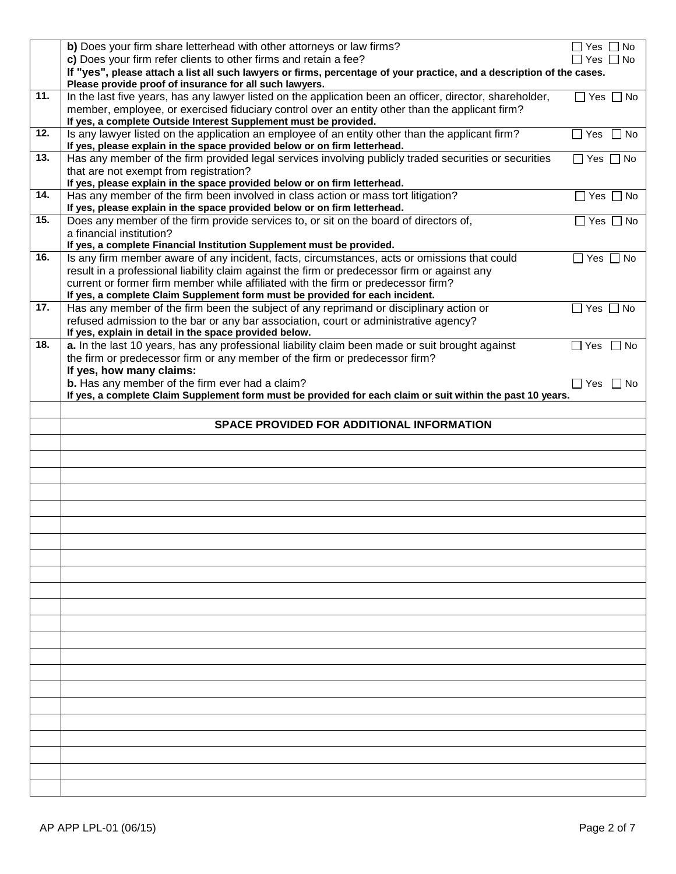|     | b) Does your firm share letterhead with other attorneys or law firms?                                                  | Yes $\Box$ No<br>$\blacksquare$ |
|-----|------------------------------------------------------------------------------------------------------------------------|---------------------------------|
|     | c) Does your firm refer clients to other firms and retain a fee?                                                       | $\Box$ Yes $\Box$ No            |
|     | If "yes", please attach a list all such lawyers or firms, percentage of your practice, and a description of the cases. |                                 |
|     | Please provide proof of insurance for all such lawyers.                                                                |                                 |
| 11. | In the last five years, has any lawyer listed on the application been an officer, director, shareholder,               | $\Box$ Yes $\Box$ No            |
|     | member, employee, or exercised fiduciary control over an entity other than the applicant firm?                         |                                 |
|     | If yes, a complete Outside Interest Supplement must be provided.                                                       |                                 |
| 12. | Is any lawyer listed on the application an employee of an entity other than the applicant firm?                        | Yes<br>$\Box$<br>l I No         |
|     | If yes, please explain in the space provided below or on firm letterhead.                                              |                                 |
| 13. | Has any member of the firm provided legal services involving publicly traded securities or securities                  | Yes $\Box$ No<br>$\Box$         |
|     | that are not exempt from registration?                                                                                 |                                 |
|     | If yes, please explain in the space provided below or on firm letterhead.                                              |                                 |
| 14. | Has any member of the firm been involved in class action or mass tort litigation?                                      | $\Box$ Yes $\Box$ No            |
|     | If yes, please explain in the space provided below or on firm letterhead.                                              |                                 |
| 15. | Does any member of the firm provide services to, or sit on the board of directors of,                                  | $\Box$ Yes $\Box$ No            |
|     | a financial institution?                                                                                               |                                 |
|     | If yes, a complete Financial Institution Supplement must be provided.                                                  |                                 |
| 16. | Is any firm member aware of any incident, facts, circumstances, acts or omissions that could                           | $\Box$ Yes $\Box$ No            |
|     | result in a professional liability claim against the firm or predecessor firm or against any                           |                                 |
|     | current or former firm member while affiliated with the firm or predecessor firm?                                      |                                 |
|     | If yes, a complete Claim Supplement form must be provided for each incident.                                           |                                 |
| 17. | Has any member of the firm been the subject of any reprimand or disciplinary action or                                 | $\Box$ Yes $\Box$ No            |
|     | refused admission to the bar or any bar association, court or administrative agency?                                   |                                 |
|     | If yes, explain in detail in the space provided below.                                                                 |                                 |
| 18. | a. In the last 10 years, has any professional liability claim been made or suit brought against                        | $\Box$ Yes<br>l INo             |
|     | the firm or predecessor firm or any member of the firm or predecessor firm?                                            |                                 |
|     | If yes, how many claims:                                                                                               |                                 |
|     | b. Has any member of the firm ever had a claim?                                                                        | $\square$ Yes<br>l INo          |
|     | If yes, a complete Claim Supplement form must be provided for each claim or suit within the past 10 years.             |                                 |
|     |                                                                                                                        |                                 |
|     |                                                                                                                        |                                 |
|     | SPACE PROVIDED FOR ADDITIONAL INFORMATION                                                                              |                                 |
|     |                                                                                                                        |                                 |
|     |                                                                                                                        |                                 |
|     |                                                                                                                        |                                 |
|     |                                                                                                                        |                                 |
|     |                                                                                                                        |                                 |
|     |                                                                                                                        |                                 |
|     |                                                                                                                        |                                 |
|     |                                                                                                                        |                                 |
|     |                                                                                                                        |                                 |
|     |                                                                                                                        |                                 |
|     |                                                                                                                        |                                 |
|     |                                                                                                                        |                                 |
|     |                                                                                                                        |                                 |
|     |                                                                                                                        |                                 |
|     |                                                                                                                        |                                 |
|     |                                                                                                                        |                                 |
|     |                                                                                                                        |                                 |
|     |                                                                                                                        |                                 |
|     |                                                                                                                        |                                 |
|     |                                                                                                                        |                                 |
|     |                                                                                                                        |                                 |
|     |                                                                                                                        |                                 |
|     |                                                                                                                        |                                 |
|     |                                                                                                                        |                                 |
|     |                                                                                                                        |                                 |
|     |                                                                                                                        |                                 |
|     |                                                                                                                        |                                 |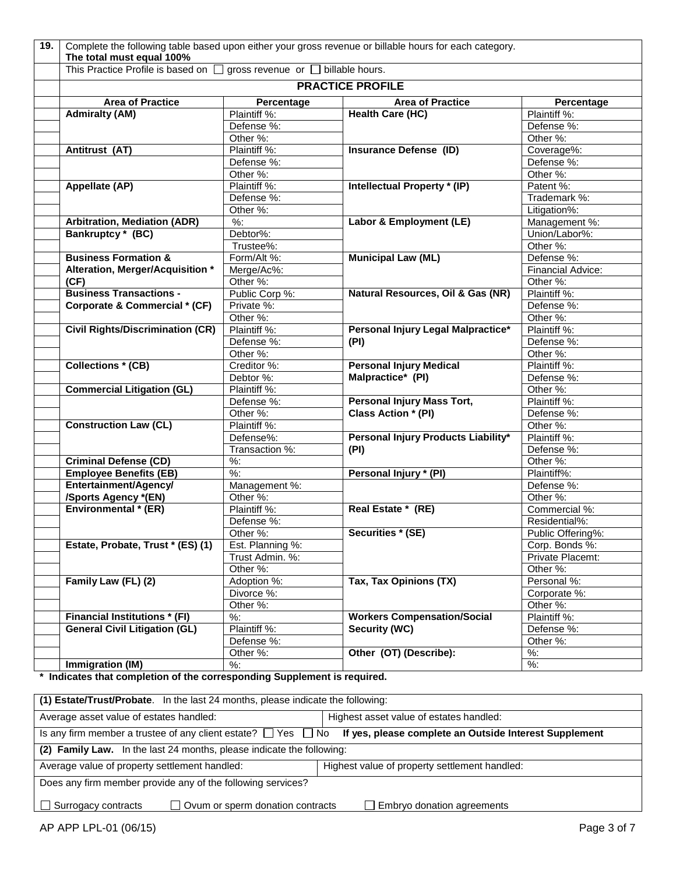| 19. | Complete the following table based upon either your gross revenue or billable hours for each category.<br>The total must equal 100% |                   |                                     |                   |  |  |  |
|-----|-------------------------------------------------------------------------------------------------------------------------------------|-------------------|-------------------------------------|-------------------|--|--|--|
|     | gross revenue or <b>billable</b> hours.<br>This Practice Profile is based on [                                                      |                   |                                     |                   |  |  |  |
|     | <b>PRACTICE PROFILE</b>                                                                                                             |                   |                                     |                   |  |  |  |
|     | <b>Area of Practice</b>                                                                                                             | Percentage        | <b>Area of Practice</b>             | <b>Percentage</b> |  |  |  |
|     | <b>Admiralty (AM)</b>                                                                                                               | Plaintiff %:      | <b>Health Care (HC)</b>             | Plaintiff %:      |  |  |  |
|     |                                                                                                                                     | Defense %:        |                                     | Defense %:        |  |  |  |
|     |                                                                                                                                     | Other %:          |                                     | Other %:          |  |  |  |
|     | Antitrust (AT)                                                                                                                      | Plaintiff %:      | <b>Insurance Defense (ID)</b>       | Coverage%:        |  |  |  |
|     |                                                                                                                                     | Defense %:        |                                     | Defense %:        |  |  |  |
|     |                                                                                                                                     | Other %:          |                                     | Other %:          |  |  |  |
|     | Appellate (AP)                                                                                                                      | Plaintiff %:      | Intellectual Property * (IP)        | Patent %:         |  |  |  |
|     |                                                                                                                                     | Defense %:        |                                     | Trademark %:      |  |  |  |
|     |                                                                                                                                     | Other %:          |                                     | Litigation%:      |  |  |  |
|     | <b>Arbitration, Mediation (ADR)</b>                                                                                                 | $\overline{\%}$ : | Labor & Employment (LE)             | Management %:     |  |  |  |
|     | Bankruptcy * (BC)                                                                                                                   | Debtor%:          |                                     | Union/Labor%:     |  |  |  |
|     |                                                                                                                                     | Trustee%:         |                                     | Other %:          |  |  |  |
|     | <b>Business Formation &amp;</b>                                                                                                     | Form/Alt %:       | <b>Municipal Law (ML)</b>           | Defense %:        |  |  |  |
|     | Alteration, Merger/Acquisition *                                                                                                    | Merge/Ac%:        |                                     | Financial Advice: |  |  |  |
|     | (CF)                                                                                                                                | Other %:          |                                     | Other %:          |  |  |  |
|     | <b>Business Transactions -</b>                                                                                                      | Public Corp %:    | Natural Resources, Oil & Gas (NR)   | Plaintiff %:      |  |  |  |
|     | Corporate & Commercial * (CF)                                                                                                       | Private %:        |                                     | Defense %:        |  |  |  |
|     |                                                                                                                                     | Other %:          |                                     | Other %:          |  |  |  |
|     | <b>Civil Rights/Discrimination (CR)</b>                                                                                             | Plaintiff %:      | Personal Injury Legal Malpractice*  | Plaintiff %:      |  |  |  |
|     |                                                                                                                                     | Defense %:        | (PI)                                | Defense %:        |  |  |  |
|     |                                                                                                                                     | Other %:          |                                     | Other %:          |  |  |  |
|     | <b>Collections * (CB)</b>                                                                                                           | Creditor %:       | <b>Personal Injury Medical</b>      | Plaintiff %:      |  |  |  |
|     |                                                                                                                                     | Debtor %:         | Malpractice* (PI)                   | Defense %:        |  |  |  |
|     | <b>Commercial Litigation (GL)</b>                                                                                                   | Plaintiff %:      |                                     | Other %:          |  |  |  |
|     |                                                                                                                                     | Defense %:        | <b>Personal Injury Mass Tort,</b>   | Plaintiff %:      |  |  |  |
|     |                                                                                                                                     | Other %:          | Class Action * (PI)                 | Defense %:        |  |  |  |
|     | <b>Construction Law (CL)</b>                                                                                                        | Plaintiff %:      |                                     | Other %:          |  |  |  |
|     |                                                                                                                                     | Defense%:         | Personal Injury Products Liability* | Plaintiff %:      |  |  |  |
|     |                                                                                                                                     | Transaction %:    | (PI)                                | Defense %:        |  |  |  |
|     | <b>Criminal Defense (CD)</b>                                                                                                        | $%$ :             |                                     | Other %:          |  |  |  |
|     | <b>Employee Benefits (EB)</b>                                                                                                       | $\frac{9}{6}$     | Personal Injury * (PI)              | Plaintiff%:       |  |  |  |
|     | Entertainment/Agency/                                                                                                               | Management %:     |                                     | Defense %:        |  |  |  |
|     | /Sports Agency *(EN)                                                                                                                | Other %:          |                                     | Other %:          |  |  |  |
|     | Environmental * (ER)                                                                                                                | Plaintiff %:      | Real Estate * (RE)                  | Commercial %:     |  |  |  |
|     |                                                                                                                                     | Defense %:        |                                     | Residential%:     |  |  |  |
|     |                                                                                                                                     | Other %:          | Securities * (SE)                   | Public Offering%: |  |  |  |
|     | Estate, Probate, Trust * (ES) (1)                                                                                                   | Est. Planning %:  |                                     | Corp. Bonds %:    |  |  |  |
|     |                                                                                                                                     | Trust Admin. %:   |                                     | Private Placemt:  |  |  |  |
|     |                                                                                                                                     | Other %:          |                                     | Other %:          |  |  |  |
|     | Family Law (FL) (2)                                                                                                                 | Adoption %:       | Tax, Tax Opinions (TX)              | Personal %:       |  |  |  |
|     |                                                                                                                                     | Divorce %:        |                                     | Corporate %:      |  |  |  |
|     |                                                                                                                                     | Other %:          |                                     | Other %:          |  |  |  |
|     | <b>Financial Institutions * (FI)</b>                                                                                                | %                 | <b>Workers Compensation/Social</b>  | Plaintiff %:      |  |  |  |
|     | <b>General Civil Litigation (GL)</b>                                                                                                | Plaintiff %:      | <b>Security (WC)</b>                | Defense %:        |  |  |  |
|     |                                                                                                                                     | Defense %:        |                                     | Other %:          |  |  |  |
|     |                                                                                                                                     | Other %:          | Other (OT) (Describe):              | $%$ :             |  |  |  |
|     | Immigration (IM)                                                                                                                    | %:                |                                     | $%$ :             |  |  |  |

**\* Indicates that completion of the corresponding Supplement is required.** 

| (1) Estate/Trust/Probate. In the last 24 months, please indicate the following:                                                |  |  |  |  |  |
|--------------------------------------------------------------------------------------------------------------------------------|--|--|--|--|--|
| Average asset value of estates handled:<br>Highest asset value of estates handled:                                             |  |  |  |  |  |
| Is any firm member a trustee of any client estate? $\Box$ Yes $\Box$ No If yes, please complete an Outside Interest Supplement |  |  |  |  |  |
| (2) Family Law. In the last 24 months, please indicate the following:                                                          |  |  |  |  |  |
| Average value of property settlement handled:<br>Highest value of property settlement handled:                                 |  |  |  |  |  |
| Does any firm member provide any of the following services?                                                                    |  |  |  |  |  |
| $\Box$ Ovum or sperm donation contracts<br>$\Box$ Surrogacy contracts<br>$\Box$ Embryo donation agreements                     |  |  |  |  |  |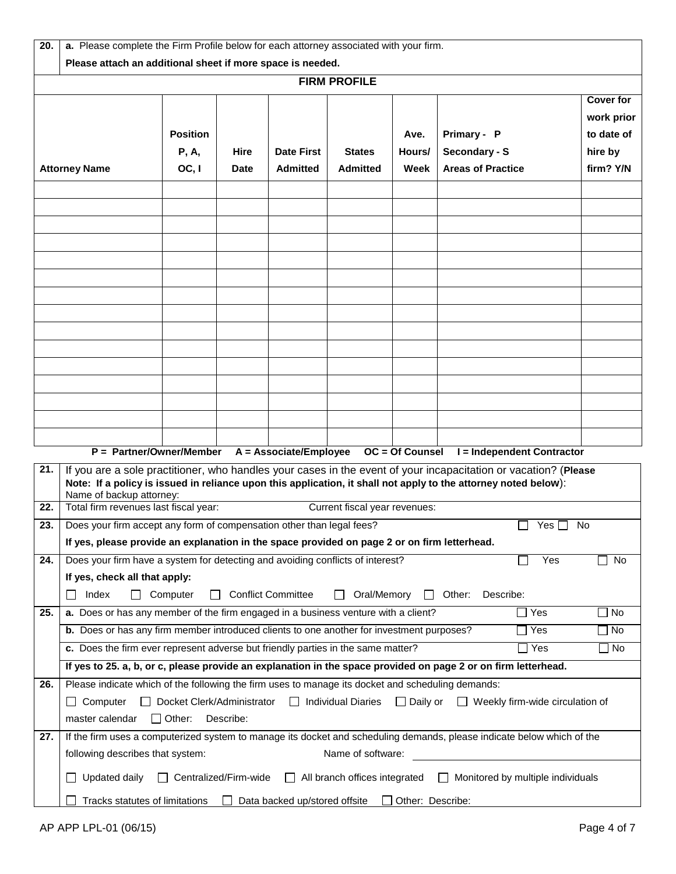| 20. | a. Please complete the Firm Profile below for each attorney associated with your firm.                                                                                                                                                                         |                              |           |                               |                                                              |                  |                     |                                          |            |
|-----|----------------------------------------------------------------------------------------------------------------------------------------------------------------------------------------------------------------------------------------------------------------|------------------------------|-----------|-------------------------------|--------------------------------------------------------------|------------------|---------------------|------------------------------------------|------------|
|     | Please attach an additional sheet if more space is needed.<br><b>FIRM PROFILE</b>                                                                                                                                                                              |                              |           |                               |                                                              |                  |                     |                                          |            |
|     | <b>Cover for</b>                                                                                                                                                                                                                                               |                              |           |                               |                                                              |                  |                     |                                          |            |
|     |                                                                                                                                                                                                                                                                |                              |           |                               |                                                              |                  |                     |                                          | work prior |
|     |                                                                                                                                                                                                                                                                | <b>Position</b>              |           |                               |                                                              | Ave.             | Primary - P         |                                          | to date of |
|     |                                                                                                                                                                                                                                                                | <b>P, A,</b>                 | Hire      | <b>Date First</b>             | <b>States</b>                                                | Hours/           | Secondary - S       |                                          | hire by    |
|     | OC, I<br><b>Areas of Practice</b><br><b>Attorney Name</b><br>Date<br><b>Admitted</b><br><b>Admitted</b><br>Week                                                                                                                                                |                              |           |                               |                                                              | firm? Y/N        |                     |                                          |            |
|     |                                                                                                                                                                                                                                                                |                              |           |                               |                                                              |                  |                     |                                          |            |
|     |                                                                                                                                                                                                                                                                |                              |           |                               |                                                              |                  |                     |                                          |            |
|     |                                                                                                                                                                                                                                                                |                              |           |                               |                                                              |                  |                     |                                          |            |
|     |                                                                                                                                                                                                                                                                |                              |           |                               |                                                              |                  |                     |                                          |            |
|     |                                                                                                                                                                                                                                                                |                              |           |                               |                                                              |                  |                     |                                          |            |
|     |                                                                                                                                                                                                                                                                |                              |           |                               |                                                              |                  |                     |                                          |            |
|     |                                                                                                                                                                                                                                                                |                              |           |                               |                                                              |                  |                     |                                          |            |
|     |                                                                                                                                                                                                                                                                |                              |           |                               |                                                              |                  |                     |                                          |            |
|     |                                                                                                                                                                                                                                                                |                              |           |                               |                                                              |                  |                     |                                          |            |
|     |                                                                                                                                                                                                                                                                |                              |           |                               |                                                              |                  |                     |                                          |            |
|     |                                                                                                                                                                                                                                                                |                              |           |                               |                                                              |                  |                     |                                          |            |
|     |                                                                                                                                                                                                                                                                |                              |           |                               |                                                              |                  |                     |                                          |            |
|     |                                                                                                                                                                                                                                                                |                              |           |                               |                                                              |                  |                     |                                          |            |
|     |                                                                                                                                                                                                                                                                |                              |           |                               |                                                              |                  |                     |                                          |            |
|     |                                                                                                                                                                                                                                                                |                              |           |                               |                                                              |                  |                     |                                          |            |
| 21. | P = Partner/Owner/Member<br>A = Associate/Employee<br>OC = Of Counsel<br>I = Independent Contractor                                                                                                                                                            |                              |           |                               |                                                              |                  |                     |                                          |            |
|     | If you are a sole practitioner, who handles your cases in the event of your incapacitation or vacation? (Please<br>Note: If a policy is issued in reliance upon this application, it shall not apply to the attorney noted below):<br>Name of backup attorney: |                              |           |                               |                                                              |                  |                     |                                          |            |
| 22. | Total firm revenues last fiscal year:                                                                                                                                                                                                                          |                              |           |                               | Current fiscal year revenues:                                |                  |                     |                                          |            |
| 23. | Does your firm accept any form of compensation other than legal fees?                                                                                                                                                                                          |                              |           |                               |                                                              |                  |                     | Yes $\Box$                               | <b>No</b>  |
|     | If yes, please provide an explanation in the space provided on page 2 or on firm letterhead.                                                                                                                                                                   |                              |           |                               |                                                              |                  |                     |                                          |            |
| 24. | Does your firm have a system for detecting and avoiding conflicts of interest?                                                                                                                                                                                 |                              |           |                               |                                                              |                  |                     | Yes                                      | No         |
|     | If yes, check all that apply:                                                                                                                                                                                                                                  |                              |           |                               |                                                              |                  |                     |                                          |            |
|     | Index<br>$\mathsf{L}$                                                                                                                                                                                                                                          | Computer<br>$\mathsf{L}$     |           | <b>Conflict Committee</b>     | Oral/Memory                                                  | $\perp$          | Other:<br>Describe: |                                          |            |
| 25. | a. Does or has any member of the firm engaged in a business venture with a client?                                                                                                                                                                             |                              |           |                               |                                                              |                  |                     | Yes                                      | $\Box$ No  |
|     | b. Does or has any firm member introduced clients to one another for investment purposes?                                                                                                                                                                      |                              |           |                               |                                                              |                  |                     | Yes                                      | $\Box$ No  |
|     | c. Does the firm ever represent adverse but friendly parties in the same matter?                                                                                                                                                                               |                              |           |                               |                                                              |                  |                     | $\Box$ Yes                               | $\Box$ No  |
|     | If yes to 25. a, b, or c, please provide an explanation in the space provided on page 2 or on firm letterhead.                                                                                                                                                 |                              |           |                               |                                                              |                  |                     |                                          |            |
| 26. | Please indicate which of the following the firm uses to manage its docket and scheduling demands:                                                                                                                                                              |                              |           |                               |                                                              |                  |                     |                                          |            |
|     | $\Box$ Computer                                                                                                                                                                                                                                                |                              |           |                               | □ Docket Clerk/Administrator □ Individual Diaries □ Daily or |                  |                     | $\Box$ Weekly firm-wide circulation of   |            |
| 27. | master calendar<br>If the firm uses a computerized system to manage its docket and scheduling demands, please indicate below which of the                                                                                                                      | $\Box$ Other:                | Describe: |                               |                                                              |                  |                     |                                          |            |
|     | following describes that system:                                                                                                                                                                                                                               |                              |           |                               | Name of software:                                            |                  |                     |                                          |            |
|     |                                                                                                                                                                                                                                                                |                              |           |                               |                                                              |                  |                     |                                          |            |
|     | Updated daily                                                                                                                                                                                                                                                  | $\Box$ Centralized/Firm-wide |           |                               | $\Box$ All branch offices integrated                         |                  |                     | $\Box$ Monitored by multiple individuals |            |
|     | Tracks statutes of limitations                                                                                                                                                                                                                                 |                              |           | Data backed up/stored offsite |                                                              | Other: Describe: |                     |                                          |            |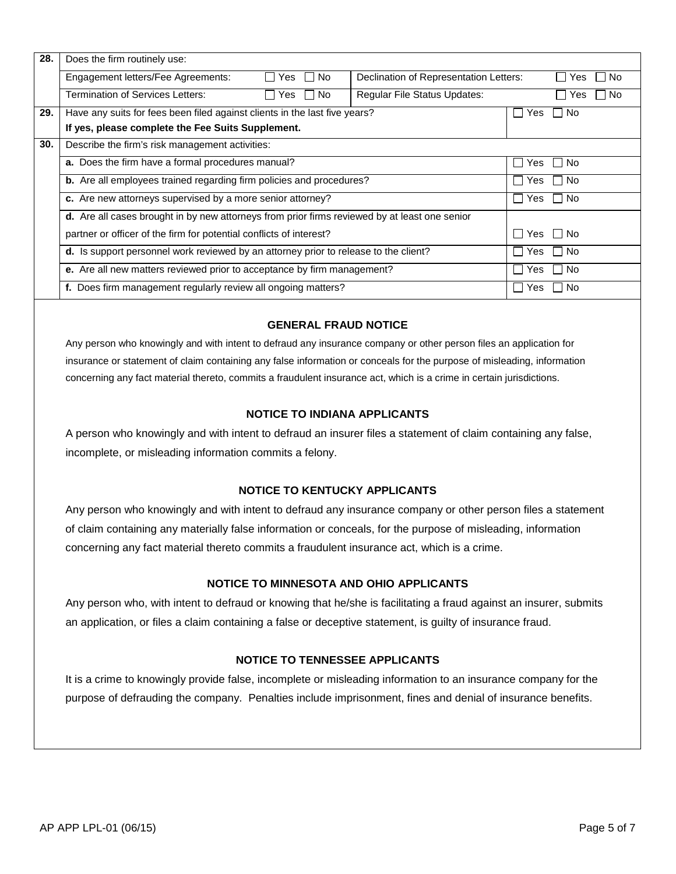| 28. | Does the firm routinely use:                                                                            |                                    |                                     |                  |  |  |
|-----|---------------------------------------------------------------------------------------------------------|------------------------------------|-------------------------------------|------------------|--|--|
|     | Engagement letters/Fee Agreements:<br>No.<br>Declination of Representation Letters:<br>Yes<br>$1 \pm 1$ |                                    |                                     | No.<br>Yes       |  |  |
|     | Termination of Services Letters:                                                                        | No.<br>Yes                         | <b>Regular File Status Updates:</b> | No.<br>Yes       |  |  |
| 29. | Have any suits for fees been filed against clients in the last five years?                              |                                    |                                     | <b>No</b><br>Yes |  |  |
|     | If yes, please complete the Fee Suits Supplement.                                                       |                                    |                                     |                  |  |  |
| 30. | Describe the firm's risk management activities:                                                         |                                    |                                     |                  |  |  |
|     | a. Does the firm have a formal procedures manual?                                                       | <b>No</b><br>Yes                   |                                     |                  |  |  |
|     | <b>b.</b> Are all employees trained regarding firm policies and procedures?                             | l No<br>Yes                        |                                     |                  |  |  |
|     | c. Are new attorneys supervised by a more senior attorney?                                              | l No<br>Yes<br>- 1<br>$\mathbf{I}$ |                                     |                  |  |  |
|     | <b>d.</b> Are all cases brought in by new attorneys from prior firms reviewed by at least one senior    |                                    |                                     |                  |  |  |
|     | partner or officer of the firm for potential conflicts of interest?                                     | Yes   No                           |                                     |                  |  |  |
|     | d. Is support personnel work reviewed by an attorney prior to release to the client?                    | l No<br>Yes                        |                                     |                  |  |  |
|     | e. Are all new matters reviewed prior to acceptance by firm management?                                 | <b>No</b><br>Yes                   |                                     |                  |  |  |
|     | f. Does firm management regularly review all ongoing matters?                                           | <b>No</b><br>Yes                   |                                     |                  |  |  |

### **GENERAL FRAUD NOTICE**

Any person who knowingly and with intent to defraud any insurance company or other person files an application for insurance or statement of claim containing any false information or conceals for the purpose of misleading, information concerning any fact material thereto, commits a fraudulent insurance act, which is a crime in certain jurisdictions.

#### **NOTICE TO INDIANA APPLICANTS**

A person who knowingly and with intent to defraud an insurer files a statement of claim containing any false, incomplete, or misleading information commits a felony.

#### **NOTICE TO KENTUCKY APPLICANTS**

Any person who knowingly and with intent to defraud any insurance company or other person files a statement of claim containing any materially false information or conceals, for the purpose of misleading, information concerning any fact material thereto commits a fraudulent insurance act, which is a crime.

### **NOTICE TO MINNESOTA AND OHIO APPLICANTS**

Any person who, with intent to defraud or knowing that he/she is facilitating a fraud against an insurer, submits an application, or files a claim containing a false or deceptive statement, is guilty of insurance fraud.

## **NOTICE TO TENNESSEE APPLICANTS**

It is a crime to knowingly provide false, incomplete or misleading information to an insurance company for the purpose of defrauding the company. Penalties include imprisonment, fines and denial of insurance benefits.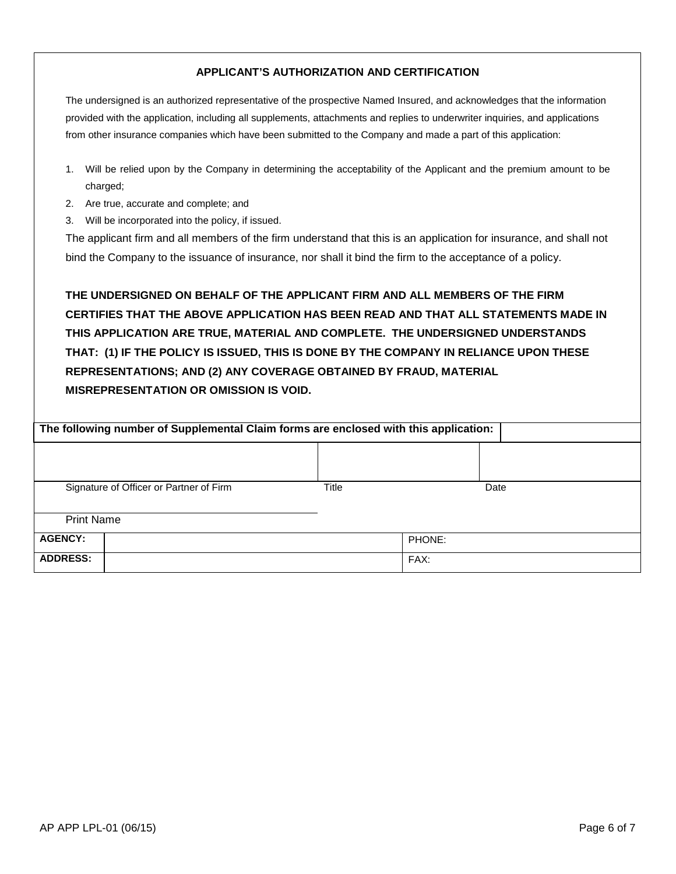# **APPLICANT'S AUTHORIZATION AND CERTIFICATION**

The undersigned is an authorized representative of the prospective Named Insured, and acknowledges that the information provided with the application, including all supplements, attachments and replies to underwriter inquiries, and applications from other insurance companies which have been submitted to the Company and made a part of this application:

- 1. Will be relied upon by the Company in determining the acceptability of the Applicant and the premium amount to be charged;
- 2. Are true, accurate and complete; and
- 3. Will be incorporated into the policy, if issued.

The applicant firm and all members of the firm understand that this is an application for insurance, and shall not bind the Company to the issuance of insurance, nor shall it bind the firm to the acceptance of a policy.

**THE UNDERSIGNED ON BEHALF OF THE APPLICANT FIRM AND ALL MEMBERS OF THE FIRM CERTIFIES THAT THE ABOVE APPLICATION HAS BEEN READ AND THAT ALL STATEMENTS MADE IN THIS APPLICATION ARE TRUE, MATERIAL AND COMPLETE. THE UNDERSIGNED UNDERSTANDS THAT: (1) IF THE POLICY IS ISSUED, THIS IS DONE BY THE COMPANY IN RELIANCE UPON THESE REPRESENTATIONS; AND (2) ANY COVERAGE OBTAINED BY FRAUD, MATERIAL MISREPRESENTATION OR OMISSION IS VOID.**

| The following number of Supplemental Claim forms are enclosed with this application: |       |        |  |  |
|--------------------------------------------------------------------------------------|-------|--------|--|--|
|                                                                                      |       |        |  |  |
| Signature of Officer or Partner of Firm                                              | Title | Date   |  |  |
| <b>Print Name</b>                                                                    |       |        |  |  |
| <b>AGENCY:</b>                                                                       |       | PHONE: |  |  |
| <b>ADDRESS:</b>                                                                      |       | FAX:   |  |  |